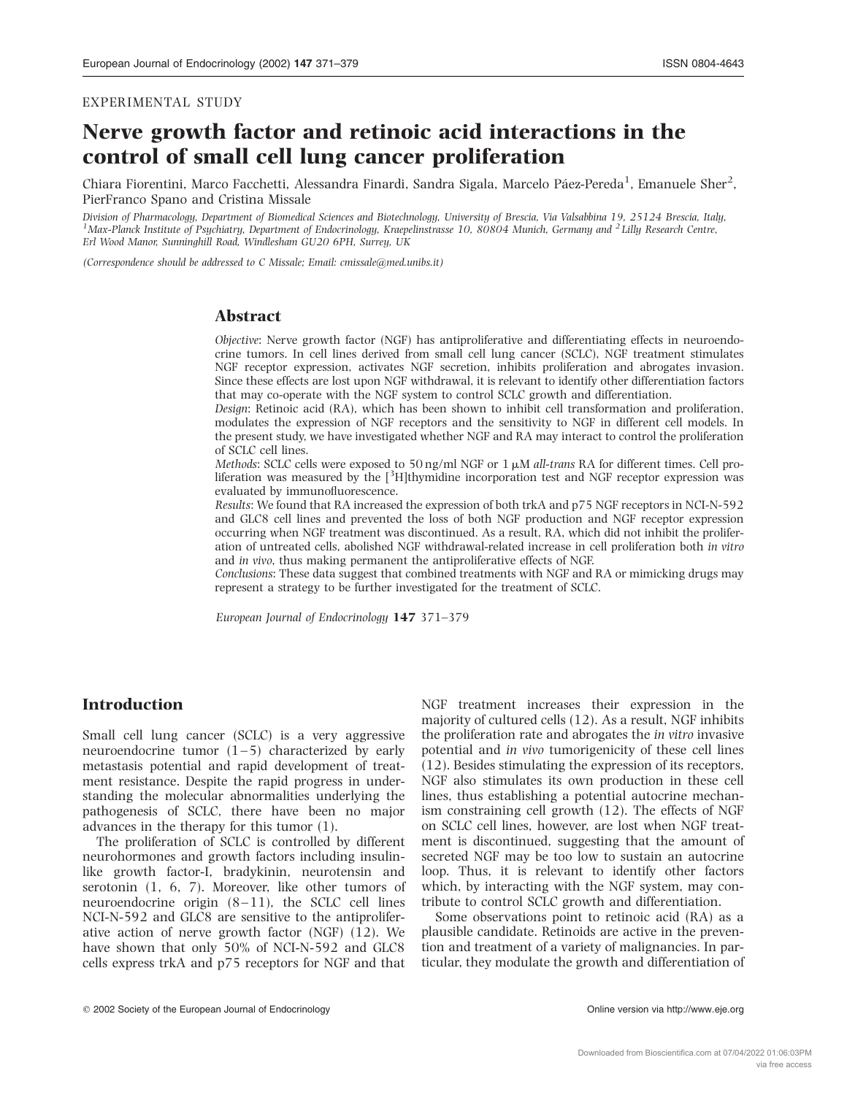# Nerve growth factor and retinoic acid interactions in the control of small cell lung cancer proliferation

Chiara Fiorentini, Marco Facchetti, Alessandra Finardi, Sandra Sigala, Marcelo Páez-Pereda<sup>1</sup>, Emanuele Sher<sup>2</sup>, PierFranco Spano and Cristina Missale

Division of Pharmacology, Department of Biomedical Sciences and Biotechnology, University of Brescia, Via Valsabbina 19, 25124 Brescia, Italy, <sup>1</sup>Max-Planck Institute of Psychiatry, Department of Endocrinology, Kraepelinstrasse 10, 80804 Munich, Germany and <sup>2</sup> Lilly Research Centre, Erl Wood Manor, Sunninghill Road, Windlesham GU20 6PH, Surrey, UK

(Correspondence should be addressed to C Missale; Email: cmissale@med.unibs.it)

## Abstract

Objective: Nerve growth factor (NGF) has antiproliferative and differentiating effects in neuroendocrine tumors. In cell lines derived from small cell lung cancer (SCLC), NGF treatment stimulates NGF receptor expression, activates NGF secretion, inhibits proliferation and abrogates invasion. Since these effects are lost upon NGF withdrawal, it is relevant to identify other differentiation factors that may co-operate with the NGF system to control SCLC growth and differentiation.

Design: Retinoic acid (RA), which has been shown to inhibit cell transformation and proliferation, modulates the expression of NGF receptors and the sensitivity to NGF in different cell models. In the present study, we have investigated whether NGF and RA may interact to control the proliferation of SCLC cell lines.

Methods: SCLC cells were exposed to 50 ng/ml NGF or  $1 \mu M$  all-trans RA for different times. Cell proliferation was measured by the [3H]thymidine incorporation test and NGF receptor expression was evaluated by immunofluorescence.

Results: We found that RA increased the expression of both trkA and p75 NGF receptors in NCI-N-592 and GLC8 cell lines and prevented the loss of both NGF production and NGF receptor expression occurring when NGF treatment was discontinued. As a result, RA, which did not inhibit the proliferation of untreated cells, abolished NGF withdrawal-related increase in cell proliferation both in vitro and in vivo, thus making permanent the antiproliferative effects of NGF.

Conclusions: These data suggest that combined treatments with NGF and RA or mimicking drugs may represent a strategy to be further investigated for the treatment of SCLC.

European Journal of Endocrinology 147 371–379

## Introduction

Small cell lung cancer (SCLC) is a very aggressive neuroendocrine tumor  $(1-5)$  characterized by early metastasis potential and rapid development of treatment resistance. Despite the rapid progress in understanding the molecular abnormalities underlying the pathogenesis of SCLC, there have been no major advances in the therapy for this tumor (1).

The proliferation of SCLC is controlled by different neurohormones and growth factors including insulinlike growth factor-I, bradykinin, neurotensin and serotonin (1, 6, 7). Moreover, like other tumors of neuroendocrine origin  $(8-11)$ , the SCLC cell lines NCI-N-592 and GLC8 are sensitive to the antiproliferative action of nerve growth factor (NGF) (12). We have shown that only 50% of NCI-N-592 and GLC8 cells express trkA and p75 receptors for NGF and that NGF treatment increases their expression in the majority of cultured cells (12). As a result, NGF inhibits the proliferation rate and abrogates the in vitro invasive potential and in vivo tumorigenicity of these cell lines (12). Besides stimulating the expression of its receptors, NGF also stimulates its own production in these cell lines, thus establishing a potential autocrine mechanism constraining cell growth (12). The effects of NGF on SCLC cell lines, however, are lost when NGF treatment is discontinued, suggesting that the amount of secreted NGF may be too low to sustain an autocrine loop. Thus, it is relevant to identify other factors which, by interacting with the NGF system, may contribute to control SCLC growth and differentiation.

Some observations point to retinoic acid (RA) as a plausible candidate. Retinoids are active in the prevention and treatment of a variety of malignancies. In particular, they modulate the growth and differentiation of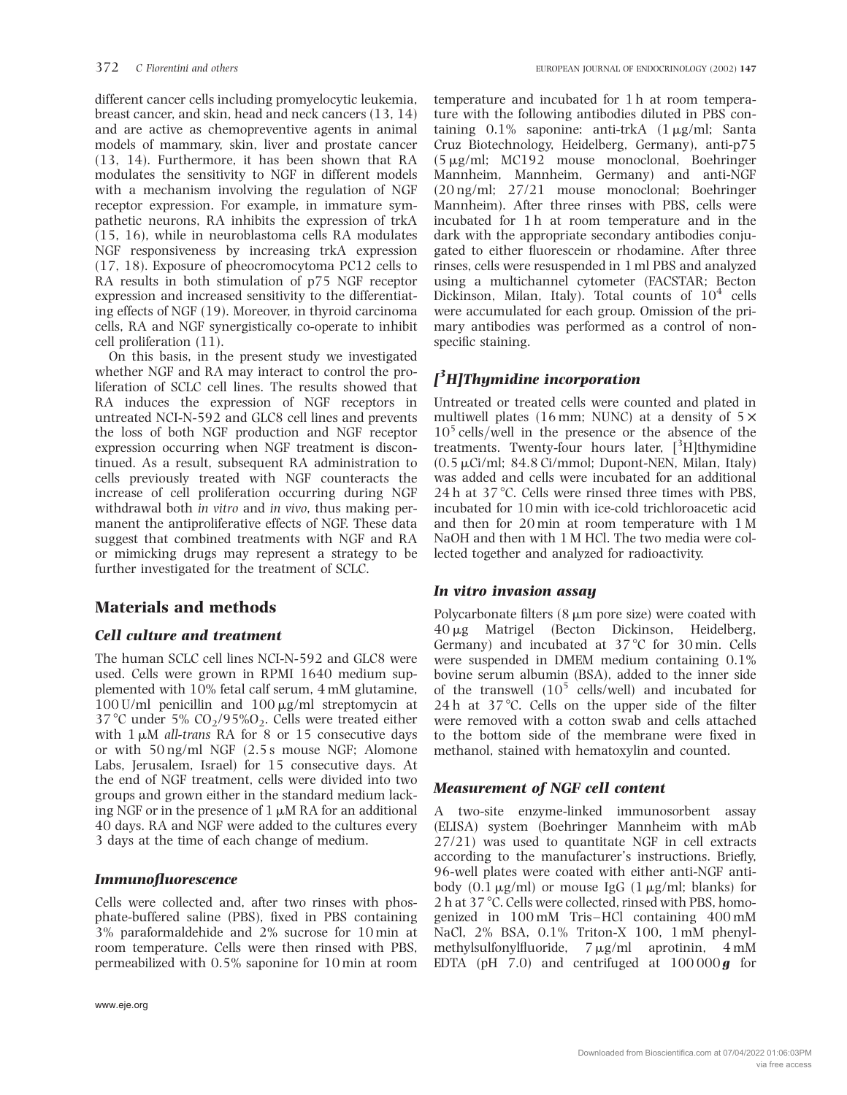different cancer cells including promyelocytic leukemia, breast cancer, and skin, head and neck cancers (13, 14) and are active as chemopreventive agents in animal models of mammary, skin, liver and prostate cancer (13, 14). Furthermore, it has been shown that RA modulates the sensitivity to NGF in different models with a mechanism involving the regulation of NGF receptor expression. For example, in immature sympathetic neurons, RA inhibits the expression of trkA (15, 16), while in neuroblastoma cells RA modulates NGF responsiveness by increasing trkA expression (17, 18). Exposure of pheocromocytoma PC12 cells to RA results in both stimulation of p75 NGF receptor expression and increased sensitivity to the differentiating effects of NGF (19). Moreover, in thyroid carcinoma cells, RA and NGF synergistically co-operate to inhibit cell proliferation (11).

On this basis, in the present study we investigated whether NGF and RA may interact to control the proliferation of SCLC cell lines. The results showed that RA induces the expression of NGF receptors in untreated NCI-N-592 and GLC8 cell lines and prevents the loss of both NGF production and NGF receptor expression occurring when NGF treatment is discontinued. As a result, subsequent RA administration to cells previously treated with NGF counteracts the increase of cell proliferation occurring during NGF withdrawal both in vitro and in vivo, thus making permanent the antiproliferative effects of NGF. These data suggest that combined treatments with NGF and RA or mimicking drugs may represent a strategy to be further investigated for the treatment of SCLC.

# Materials and methods

# Cell culture and treatment

The human SCLC cell lines NCI-N-592 and GLC8 were used. Cells were grown in RPMI 1640 medium supplemented with 10% fetal calf serum, 4 mM glutamine,  $100$  U/ml penicillin and  $100 \mu g/ml$  streptomycin at 37 °C under 5%  $CO<sub>2</sub>/95%O<sub>2</sub>$ . Cells were treated either with  $1 \mu M$  all-trans RA for 8 or 15 consecutive days or with 50 ng/ml NGF (2.5 s mouse NGF; Alomone Labs, Jerusalem, Israel) for 15 consecutive days. At the end of NGF treatment, cells were divided into two groups and grown either in the standard medium lacking NGF or in the presence of  $1 \mu M RA$  for an additional 40 days. RA and NGF were added to the cultures every 3 days at the time of each change of medium.

## Immunofluorescence

Cells were collected and, after two rinses with phosphate-buffered saline (PBS), fixed in PBS containing 3% paraformaldehide and 2% sucrose for 10 min at room temperature. Cells were then rinsed with PBS, permeabilized with 0.5% saponine for 10 min at room

temperature and incubated for 1 h at room temperature with the following antibodies diluted in PBS containing  $0.1\%$  saponine: anti-trkA  $(1 \mu g/ml)$ ; Santa Cruz Biotechnology, Heidelberg, Germany), anti-p75  $(5 \mu g/ml; MC192$  mouse monoclonal, Boehringer Mannheim, Mannheim, Germany) and anti-NGF (20 ng/ml; 27/21 mouse monoclonal; Boehringer Mannheim). After three rinses with PBS, cells were incubated for 1 h at room temperature and in the dark with the appropriate secondary antibodies conjugated to either fluorescein or rhodamine. After three rinses, cells were resuspended in 1 ml PBS and analyzed using a multichannel cytometer (FACSTAR; Becton Dickinson, Milan, Italy). Total counts of  $10^4$  cells were accumulated for each group. Omission of the primary antibodies was performed as a control of nonspecific staining.

# [ 3 H]Thymidine incorporation

Untreated or treated cells were counted and plated in multiwell plates (16 mm; NUNC) at a density of  $5 \times$  $10<sup>5</sup>$  cells/well in the presence or the absence of the treatments. Twenty-four hours later, [<sup>3</sup>H]thymidine  $(0.5 \,\mu\text{Ci/ml}; 84.8 \,\text{Ci/mm}$ ; Dupont-NEN, Milan, Italy) was added and cells were incubated for an additional  $24 h$  at  $37^{\circ}$ C. Cells were rinsed three times with PBS. incubated for 10 min with ice-cold trichloroacetic acid and then for 20 min at room temperature with 1 M NaOH and then with 1 M HCl. The two media were collected together and analyzed for radioactivity.

# In vitro invasion assay

Polycarbonate filters  $(8 \mu m)$  pore size) were coated with 40 mg Matrigel (Becton Dickinson, Heidelberg, Germany) and incubated at  $37^{\circ}$ C for  $30 \text{ min}$ . Cells were suspended in DMEM medium containing 0.1% bovine serum albumin (BSA), added to the inner side of the transwell  $(10^5 \text{ cells/well})$  and incubated for 24 h at  $37^{\circ}$ C. Cells on the upper side of the filter were removed with a cotton swab and cells attached to the bottom side of the membrane were fixed in methanol, stained with hematoxylin and counted.

## Measurement of NGF cell content

A two-site enzyme-linked immunosorbent assay (ELISA) system (Boehringer Mannheim with mAb 27/21) was used to quantitate NGF in cell extracts according to the manufacturer's instructions. Briefly, 96-well plates were coated with either anti-NGF antibody  $(0.1 \mu g/ml)$  or mouse IgG  $(1 \mu g/ml)$ ; blanks) for 2 h at 37 °C. Cells were collected, rinsed with PBS, homogenized in 100 mM Tris –HCl containing 400 mM NaCl, 2% BSA, 0.1% Triton-X 100, 1 mM phenylmethylsulfonylfluoride,  $7 \mu g/ml$  aprotinin,  $4 \text{ mM}$ EDTA (pH 7.0) and centrifuged at  $100000\,\text{g}$  for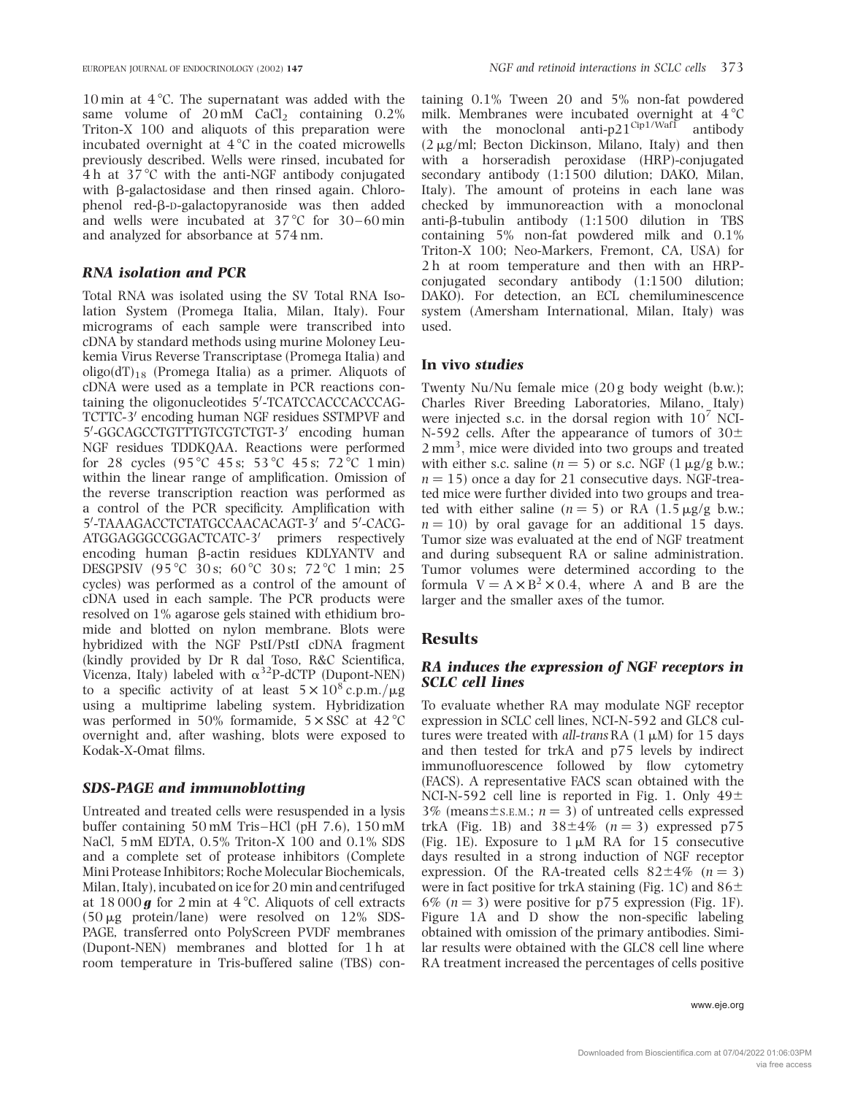10 min at  $4^{\circ}$ C. The supernatant was added with the same volume of  $20 \text{ mM }$  CaCl<sub>2</sub> containing  $0.2\%$ Triton-X 100 and aliquots of this preparation were incubated overnight at  $4^{\circ}C$  in the coated microwells previously described. Wells were rinsed, incubated for  $4 h$  at  $37^{\circ}$ C with the anti-NGF antibody conjugated with  $\beta$ -galactosidase and then rinsed again. Chlorophenol red-b-D-galactopyranoside was then added and wells were incubated at  $37^{\circ}$ C for  $30-60$  min and analyzed for absorbance at 574 nm.

#### RNA isolation and PCR

Total RNA was isolated using the SV Total RNA Isolation System (Promega Italia, Milan, Italy). Four micrograms of each sample were transcribed into cDNA by standard methods using murine Moloney Leukemia Virus Reverse Transcriptase (Promega Italia) and oligo(dT)<sub>18</sub> (Promega Italia) as a primer. Aliquots of cDNA were used as a template in PCR reactions containing the oligonucleotides 5'-TCATCCACCCACCCAG-TCTTC-3' encoding human NGF residues SSTMPVF and 5'-GGCAGCCTGTTTGTCGTCTGT-3' encoding human NGF residues TDDKQAA. Reactions were performed for 28 cycles  $(95^{\circ}C \ 45 \text{ s}; 53^{\circ}C \ 45 \text{ s}; 72^{\circ}C \ 1 \text{ min})$ within the linear range of amplification. Omission of the reverse transcription reaction was performed as a control of the PCR specificity. Amplification with 5'-TAAAGACCTCTATGCCAACACAGT-3' and 5'-CACG-ATGGAGGGCCGGACTCATC-3' primers respectively encoding human  $\beta$ -actin residues KDLYANTV and DESGPSIV (95 °C 30 s; 60 °C 30 s; 72 °C 1 min; 25 cycles) was performed as a control of the amount of cDNA used in each sample. The PCR products were resolved on 1% agarose gels stained with ethidium bromide and blotted on nylon membrane. Blots were hybridized with the NGF PstI/PstI cDNA fragment (kindly provided by Dr R dal Toso, R&C Scientifica, Vicenza, Italy) labeled with  $\alpha^{32}$ P-dCTP (Dupont-NEN) to a specific activity of at least  $5 \times 10^8$  c.p.m./ $\mu$ g using a multiprime labeling system. Hybridization was performed in 50% formamide,  $5 \times SSC$  at  $42^{\circ}C$ overnight and, after washing, blots were exposed to Kodak-X-Omat films.

#### SDS-PAGE and immunoblotting

Untreated and treated cells were resuspended in a lysis buffer containing 50 mM Tris –HCl (pH 7.6), 150 mM NaCl, 5 mM EDTA, 0.5% Triton-X 100 and 0.1% SDS and a complete set of protease inhibitors (Complete Mini Protease Inhibitors; Roche Molecular Biochemicals, Milan, Italy), incubated on ice for 20 min and centrifuged at  $18000\,\text{g}$  for  $2 \text{min}$  at  $4^{\circ}\text{C}$ . Aliquots of cell extracts  $(50 \mu g$  protein/lane) were resolved on 12% SDS-PAGE, transferred onto PolyScreen PVDF membranes (Dupont-NEN) membranes and blotted for 1 h at room temperature in Tris-buffered saline (TBS) con-

taining 0.1% Tween 20 and 5% non-fat powdered milk. Membranes were incubated overnight at  $4^{\circ}$ C with the monoclonal anti-p21<sup>Cip1/Waf1</sup> antibody  $(2 \mu g/ml;$  Becton Dickinson, Milano, Italy) and then with a horseradish peroxidase (HRP)-conjugated secondary antibody (1:1500 dilution; DAKO, Milan, Italy). The amount of proteins in each lane was checked by immunoreaction with a monoclonal anti- $\beta$ -tubulin antibody (1:1500 dilution in TBS containing 5% non-fat powdered milk and 0.1% Triton-X 100; Neo-Markers, Fremont, CA, USA) for 2 h at room temperature and then with an HRPconjugated secondary antibody (1:1500 dilution; DAKO). For detection, an ECL chemiluminescence system (Amersham International, Milan, Italy) was used.

#### In vivo studies

Twenty Nu/Nu female mice (20 g body weight (b.w.); Charles River Breeding Laboratories, Milano, Italy) were injected s.c. in the dorsal region with  $10^7$  NCI-N-592 cells. After the appearance of tumors of  $30<sup>\pm</sup>$  $2 \text{ mm}^3$ , mice were divided into two groups and treated with either s.c. saline  $(n = 5)$  or s.c. NGF  $(1 \mu g/g b.w.;$  $n = 15$ ) once a day for 21 consecutive days. NGF-treated mice were further divided into two groups and treated with either saline  $(n = 5)$  or RA  $(1.5 \mu g/g b.w.;$  $n = 10$ ) by oral gavage for an additional 15 days. Tumor size was evaluated at the end of NGF treatment and during subsequent RA or saline administration. Tumor volumes were determined according to the formula  $V = A \times B^2 \times 0.4$ , where A and B are the larger and the smaller axes of the tumor.

#### **Results**

#### RA induces the expression of NGF receptors in SCLC cell lines

To evaluate whether RA may modulate NGF receptor expression in SCLC cell lines, NCI-N-592 and GLC8 cultures were treated with all-trans RA  $(1 \mu M)$  for 15 days and then tested for trkA and p75 levels by indirect immunofluorescence followed by flow cytometry (FACS). A representative FACS scan obtained with the NCI-N-592 cell line is reported in Fig. 1. Only  $49<sup>±</sup>$ 3% (means $\pm$ s.E.M.; n = 3) of untreated cells expressed trkA (Fig. 1B) and  $38\pm4\%$  ( $n = 3$ ) expressed p75 (Fig. 1E). Exposure to  $1 \mu M$  RA for 15 consecutive days resulted in a strong induction of NGF receptor expression. Of the RA-treated cells  $82\pm4\%$  (n = 3) were in fact positive for trkA staining (Fig. 1C) and  $86\pm$ 6% ( $n = 3$ ) were positive for p75 expression (Fig. 1F). Figure 1A and D show the non-specific labeling obtained with omission of the primary antibodies. Similar results were obtained with the GLC8 cell line where RA treatment increased the percentages of cells positive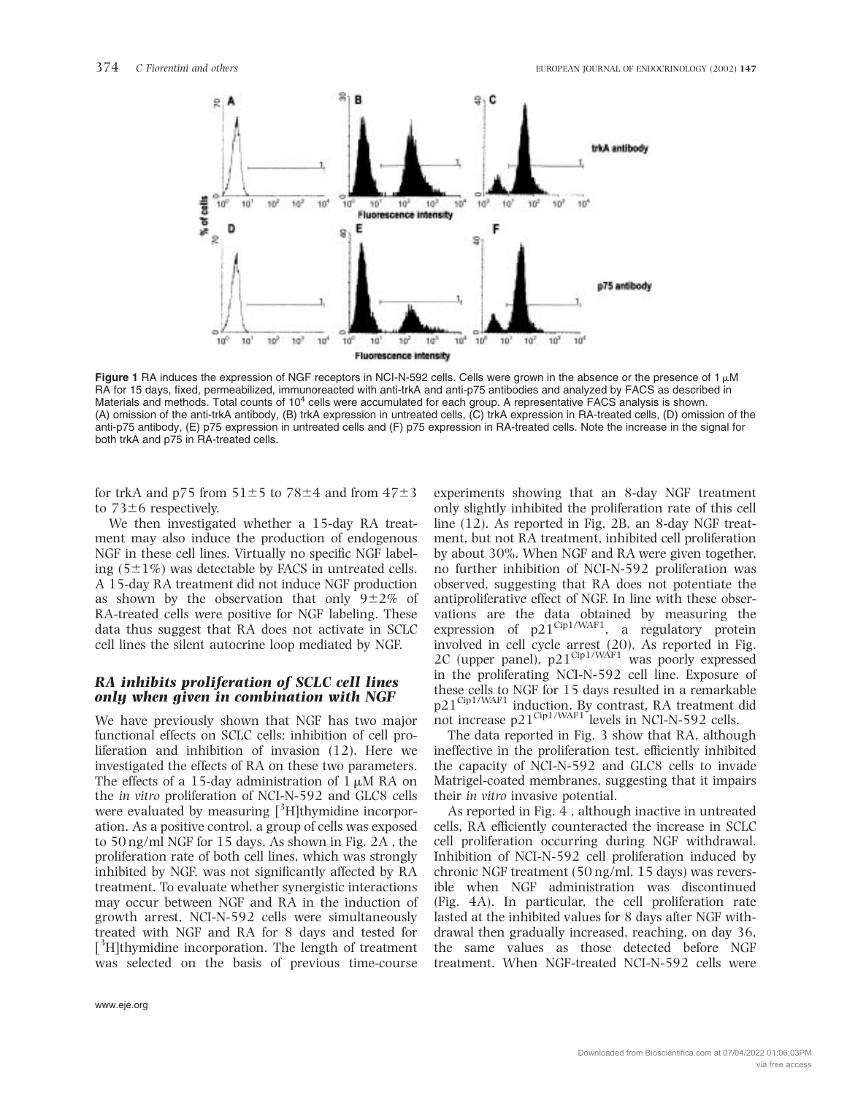

Figure 1 RA induces the expression of NGF receptors in NCI-N-592 cells. Cells were grown in the absence or the presence of 1  $\mu$ M RA for 15 days, fixed, permeabilized, immunoreacted with anti-trkA and anti-p75 antibodies and analyzed by FACS as described in Materials and methods. Total counts of 10<sup>4</sup> cells were accumulated for each group. A representative FACS analysis is shown. (A) omission of the anti-trkA antibody, (B) trkA expression in untreated cells, (C) trkA expression in RA-treated cells, (D) omission of the anti-p75 antibody, (E) p75 expression in untreated cells and (F) p75 expression in RA-treated cells. Note the increase in the signal for both trkA and p75 in RA-treated cells.

for trkA and p75 from  $51\pm5$  to 78 $\pm4$  and from  $47\pm3$ to  $73\pm6$  respectively.

We then investigated whether a 15-day RA treatment may also induce the production of endogenous NGF in these cell lines. Virtually no specific NGF labeling  $(5\pm1\%)$  was detectable by FACS in untreated cells. A 15-day RA treatment did not induce NGF production as shown by the observation that only  $9\pm2\%$  of RA-treated cells were positive for NGF labeling. These data thus suggest that RA does not activate in SCLC cell lines the silent autocrine loop mediated by NGF.

#### RA inhibits proliferation of SCLC cell lines only when given in combination with NGF

We have previously shown that NGF has two major functional effects on SCLC cells: inhibition of cell proliferation and inhibition of invasion (12). Here we investigated the effects of RA on these two parameters. The effects of a 15-day administration of  $1 \mu M$  RA on the in vitro proliferation of NCI-N-592 and GLC8 cells were evaluated by measuring [<sup>3</sup>H]thymidine incorporation. As a positive control, a group of cells was exposed to 50 ng/ml NGF for 15 days. As shown in Fig. 2A , the proliferation rate of both cell lines, which was strongly inhibited by NGF, was not significantly affected by RA treatment. To evaluate whether synergistic interactions may occur between NGF and RA in the induction of growth arrest, NCI-N-592 cells were simultaneously treated with NGF and RA for 8 days and tested for [<sup>3</sup>H]thymidine incorporation. The length of treatment was selected on the basis of previous time-course

experiments showing that an 8-day NGF treatment only slightly inhibited the proliferation rate of this cell line (12). As reported in Fig. 2B, an 8-day NGF treatment, but not RA treatment, inhibited cell proliferation by about 30%. When NGF and RA were given together, no further inhibition of NCI-N-592 proliferation was observed, suggesting that RA does not potentiate the antiproliferative effect of NGF. In line with these observations are the data obtained by measuring the expression of  $p21^{\text{Cip1/WAF1}}$ , a regulatory protein involved in cell cycle arrest (20). As reported in Fig. 2C (upper panel),  $p21^{\text{Cip1/WAF1}}$  was poorly expressed in the proliferating NCI-N-592 cell line. Exposure of these cells to NGF for 15 days resulted in a remarkable p21<sup>Cip1/WAF1</sup> induction. By contrast, RA treatment did not increase  $p21^{\text{Cip1/WAF1}}$  levels in NCI-N-592 cells.

The data reported in Fig. 3 show that RA, although ineffective in the proliferation test, efficiently inhibited the capacity of NCI-N-592 and GLC8 cells to invade Matrigel-coated membranes, suggesting that it impairs their in vitro invasive potential.

As reported in Fig. 4 , although inactive in untreated cells, RA efficiently counteracted the increase in SCLC cell proliferation occurring during NGF withdrawal. Inhibition of NCI-N-592 cell proliferation induced by chronic NGF treatment (50 ng/ml, 15 days) was reversible when NGF administration was discontinued (Fig. 4A). In particular, the cell proliferation rate lasted at the inhibited values for 8 days after NGF withdrawal then gradually increased, reaching, on day 36, the same values as those detected before NGF treatment. When NGF-treated NCI-N-592 cells were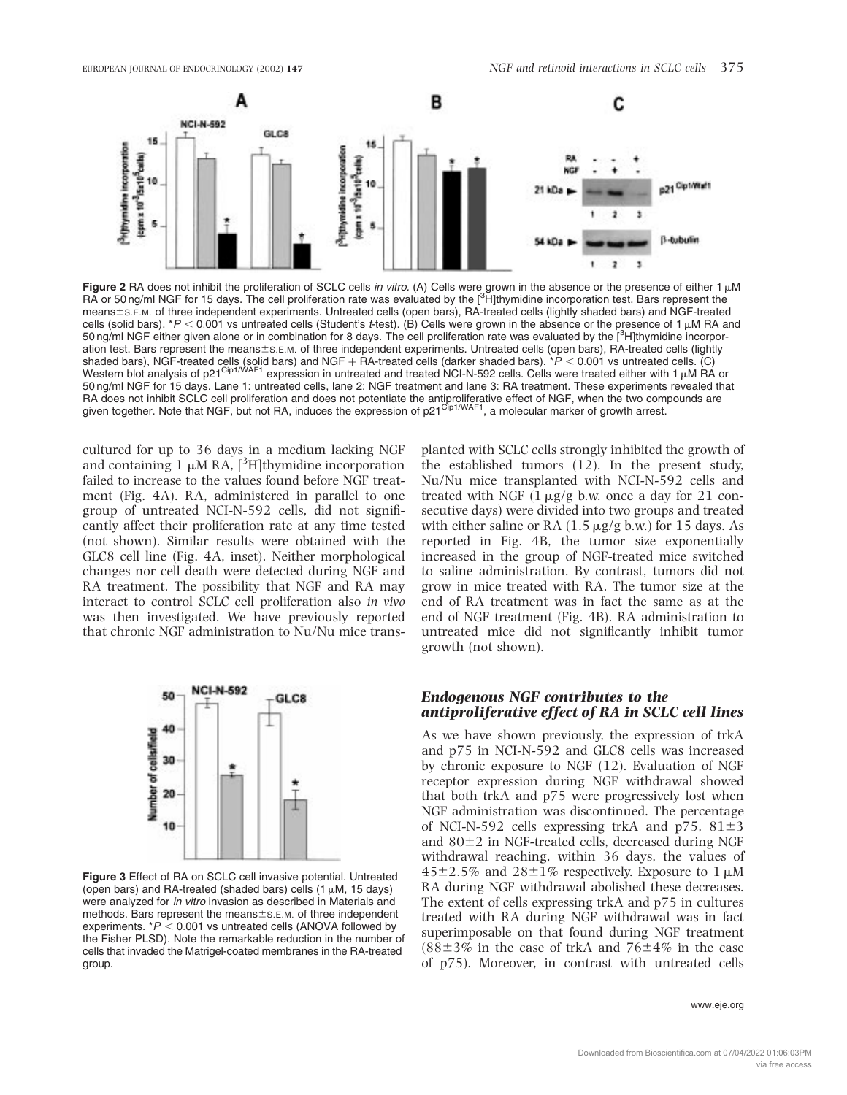

Figure 2 RA does not inhibit the proliferation of SCLC cells in vitro. (A) Cells were grown in the absence or the presence of either 1  $\mu$ M RA or 50 ng/ml NGF for 15 days. The cell proliferation rate was evaluated by the [<sup>3</sup>H]thymidine incorporation test. Bars represent the means $\pm$ s.E.M. of three independent experiments. Untreated cells (open bars), RA-treated cells (lightly shaded bars) and NGF-treated cells (solid bars).  $*P < 0.001$  vs untreated cells (Student's t-test). (B) Cells were grown in the absence or the presence of 1  $\mu$ M RA and 50 ng/ml NGF either given alone or in combination for 8 days. The cell proliferation rate was evaluated by the [<sup>3</sup>H]thymidine incorporation test. Bars represent the means±s.E.M. of three independent experiments. Untreated cells (open bars), RA-treated cells (lightly shaded bars), NGF-treated cells (solid bars) and NGF + RA-treated cells (darker shaded bars). \**P* < 0.001 vs untreated cells. (C)<br>Western blot analysis of p21<sup>Cip1/WAF1</sup> expression in untreated and treated NCI-N-592 cell 50 ng/ml NGF for 15 days. Lane 1: untreated cells, lane 2: NGF treatment and lane 3: RA treatment. These experiments revealed that RA does not inhibit SCLC cell proliferation and does not potentiate the antiproliferative effect of NGF, when the two compounds are given together. Note that NGF, but not RA, induces the expression of p21<sup>Cip1/WAF1</sup>, a molecular marker of growth arrest.

cultured for up to 36 days in a medium lacking NGF and containing  $1 \mu M RA$ , [<sup>3</sup>H]thymidine incorporation failed to increase to the values found before NGF treatment (Fig. 4A). RA, administered in parallel to one group of untreated NCI-N-592 cells, did not significantly affect their proliferation rate at any time tested (not shown). Similar results were obtained with the GLC8 cell line (Fig. 4A, inset). Neither morphological changes nor cell death were detected during NGF and RA treatment. The possibility that NGF and RA may interact to control SCLC cell proliferation also in vivo was then investigated. We have previously reported that chronic NGF administration to Nu/Nu mice trans-



Figure 3 Effect of RA on SCLC cell invasive potential. Untreated (open bars) and RA-treated (shaded bars) cells  $(1 \mu M, 15 \text{ days})$ were analyzed for in vitro invasion as described in Materials and methods. Bars represent the means $\pm$ s.E.M. of three independent experiments.  $*P < 0.001$  vs untreated cells (ANOVA followed by the Fisher PLSD). Note the remarkable reduction in the number of cells that invaded the Matrigel-coated membranes in the RA-treated group.

planted with SCLC cells strongly inhibited the growth of the established tumors (12). In the present study, Nu/Nu mice transplanted with NCI-N-592 cells and treated with NGF  $(1 \mu g/g)$  b.w. once a day for 21 consecutive days) were divided into two groups and treated with either saline or RA  $(1.5 \mu g/g b.w.)$  for 15 days. As reported in Fig. 4B, the tumor size exponentially increased in the group of NGF-treated mice switched to saline administration. By contrast, tumors did not grow in mice treated with RA. The tumor size at the end of RA treatment was in fact the same as at the end of NGF treatment (Fig. 4B). RA administration to untreated mice did not significantly inhibit tumor growth (not shown).

#### Endogenous NGF contributes to the antiproliferative effect of RA in SCLC cell lines

As we have shown previously, the expression of trkA and p75 in NCI-N-592 and GLC8 cells was increased by chronic exposure to NGF (12). Evaluation of NGF receptor expression during NGF withdrawal showed that both trkA and p75 were progressively lost when NGF administration was discontinued. The percentage of NCI-N-592 cells expressing trkA and  $p75$ ,  $81\pm3$ and  $80\pm2$  in NGF-treated cells, decreased during NGF withdrawal reaching, within 36 days, the values of  $45\pm2.5\%$  and  $28\pm1\%$  respectively. Exposure to 1  $\mu$ M RA during NGF withdrawal abolished these decreases. The extent of cells expressing trkA and p75 in cultures treated with RA during NGF withdrawal was in fact superimposable on that found during NGF treatment  $(88\pm3\%$  in the case of trkA and  $76\pm4\%$  in the case of p75). Moreover, in contrast with untreated cells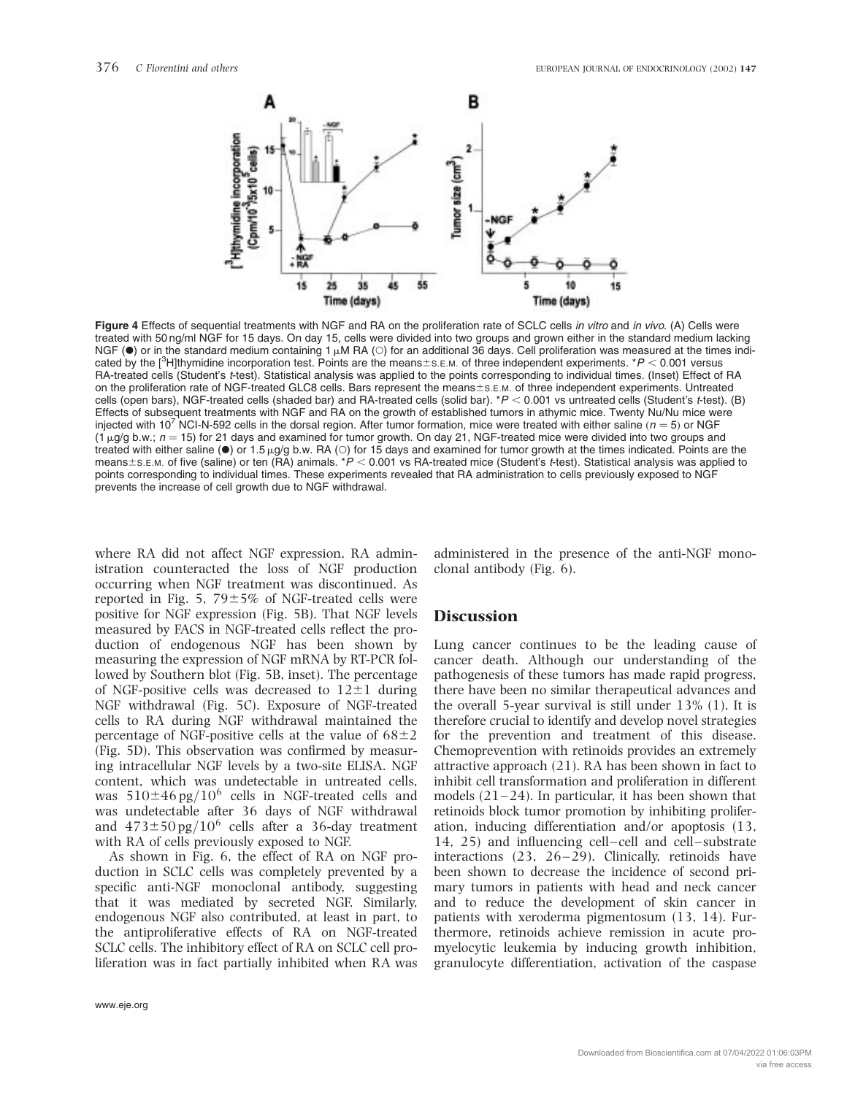

Figure 4 Effects of sequential treatments with NGF and RA on the proliferation rate of SCLC cells in vitro and in vivo. (A) Cells were treated with 50 ng/ml NGF for 15 days. On day 15, cells were divided into two groups and grown either in the standard medium lacking NGF ( $\bullet$ ) or in the standard medium containing 1  $\mu$ M RA ( $\circ$ ) for an additional 36 days. Cell proliferation was measured at the times indicated by the [<sup>3</sup>H]thymidine incorporation test. Points are the means $\pm$ s.E.M. of three independent experiments. \*P < 0.001 versus RA-treated cells (Student's t-test). Statistical analysis was applied to the points corresponding to individual times. (Inset) Effect of RA on the proliferation rate of NGF-treated GLC8 cells. Bars represent the means $\pm$ s.E.M. of three independent experiments. Untreated cells (open bars), NGF-treated cells (shaded bar) and RA-treated cells (solid bar).  $*P < 0.001$  vs untreated cells (Student's t-test). (B) Effects of subsequent treatments with NGF and RA on the growth of established tumors in athymic mice. Twenty Nu/Nu mice were injected with 10<sup>7</sup> NCI-N-592 cells in the dorsal region. After tumor formation, mice were treated with either saline ( $n = 5$ ) or NGF  $(1 \mu q/q b.w.; n = 15)$  for 21 days and examined for tumor growth. On day 21, NGF-treated mice were divided into two groups and treated with either saline ( $\bullet$ ) or 1.5  $\mu$ g/g b.w. RA ( $\circ$ ) for 15 days and examined for tumor growth at the times indicated. Points are the means $\pm$ s.E.M. of five (saline) or ten (RA) animals. \*P < 0.001 vs RA-treated mice (Student's t-test). Statistical analysis was applied to points corresponding to individual times. These experiments revealed that RA administration to cells previously exposed to NGF prevents the increase of cell growth due to NGF withdrawal.

where RA did not affect NGF expression, RA administration counteracted the loss of NGF production occurring when NGF treatment was discontinued. As reported in Fig. 5,  $79\pm5\%$  of NGF-treated cells were positive for NGF expression (Fig. 5B). That NGF levels measured by FACS in NGF-treated cells reflect the production of endogenous NGF has been shown by measuring the expression of NGF mRNA by RT-PCR followed by Southern blot (Fig. 5B, inset). The percentage of NGF-positive cells was decreased to  $12\pm1$  during NGF withdrawal (Fig. 5C). Exposure of NGF-treated cells to RA during NGF withdrawal maintained the percentage of NGF-positive cells at the value of  $68\pm2$ (Fig. 5D). This observation was confirmed by measuring intracellular NGF levels by a two-site ELISA. NGF content, which was undetectable in untreated cells, was  $510\pm46$  pg/ $10^6$  cells in NGF-treated cells and was undetectable after 36 days of NGF withdrawal and  $473\pm50$  pg/ $10^6$  cells after a 36-day treatment with RA of cells previously exposed to NGF.

As shown in Fig. 6, the effect of RA on NGF production in SCLC cells was completely prevented by a specific anti-NGF monoclonal antibody, suggesting that it was mediated by secreted NGF. Similarly, endogenous NGF also contributed, at least in part, to the antiproliferative effects of RA on NGF-treated SCLC cells. The inhibitory effect of RA on SCLC cell proliferation was in fact partially inhibited when RA was

administered in the presence of the anti-NGF monoclonal antibody (Fig. 6).

#### **Discussion**

Lung cancer continues to be the leading cause of cancer death. Although our understanding of the pathogenesis of these tumors has made rapid progress, there have been no similar therapeutical advances and the overall 5-year survival is still under 13% (1). It is therefore crucial to identify and develop novel strategies for the prevention and treatment of this disease. Chemoprevention with retinoids provides an extremely attractive approach (21). RA has been shown in fact to inhibit cell transformation and proliferation in different models  $(21-24)$ . In particular, it has been shown that retinoids block tumor promotion by inhibiting proliferation, inducing differentiation and/or apoptosis (13, 14, 25) and influencing cell-cell and cell-substrate interactions (23, 26–29). Clinically, retinoids have been shown to decrease the incidence of second primary tumors in patients with head and neck cancer and to reduce the development of skin cancer in patients with xeroderma pigmentosum (13, 14). Furthermore, retinoids achieve remission in acute promyelocytic leukemia by inducing growth inhibition, granulocyte differentiation, activation of the caspase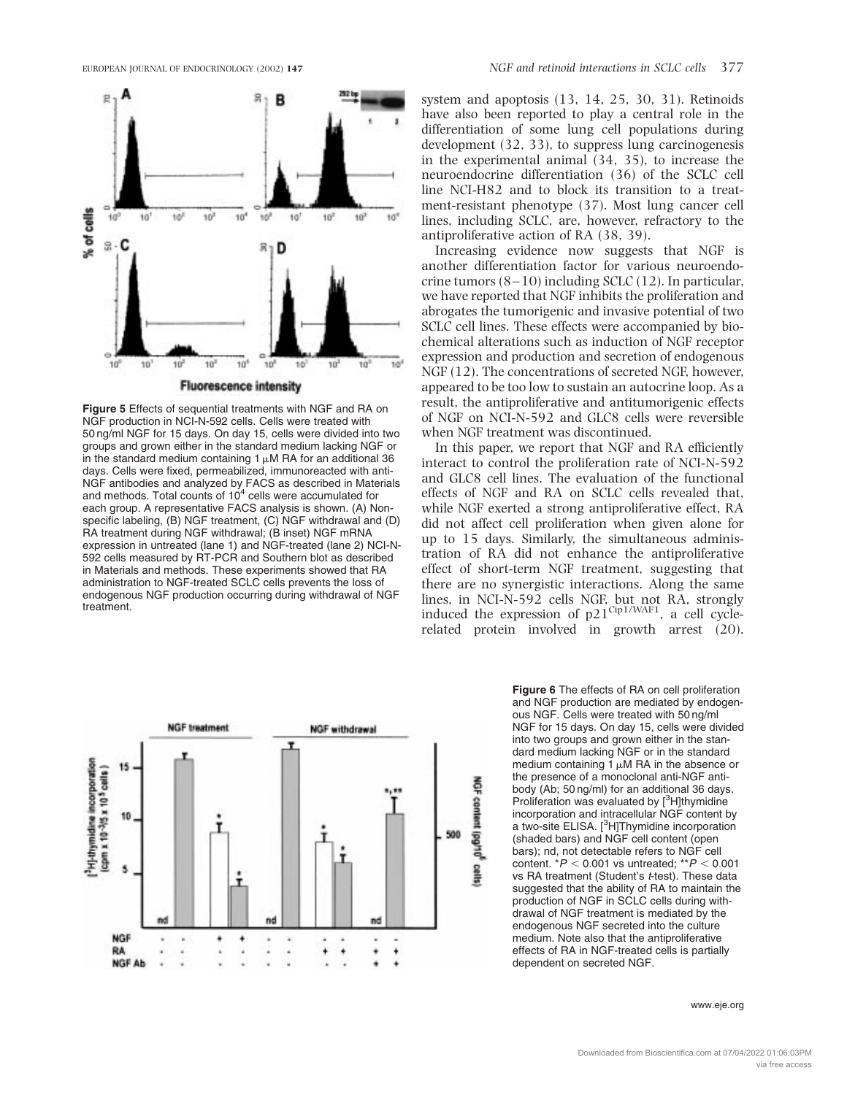

**Fluorescence intensity** 

Figure 5 Effects of sequential treatments with NGF and RA on NGF production in NCI-N-592 cells. Cells were treated with 50 ng/ml NGF for 15 days. On day 15, cells were divided into two groups and grown either in the standard medium lacking NGF or in the standard medium containing 1  $\mu$ M RA for an additional 36 days. Cells were fixed, permeabilized, immunoreacted with anti-NGF antibodies and analyzed by FACS as described in Materials and methods. Total counts of  $10<sup>4</sup>$  cells were accumulated for each group. A representative FACS analysis is shown. (A) Nonspecific labeling, (B) NGF treatment, (C) NGF withdrawal and (D) RA treatment during NGF withdrawal; (B inset) NGF mRNA expression in untreated (lane 1) and NGF-treated (lane 2) NCI-N-592 cells measured by RT-PCR and Southern blot as described in Materials and methods. These experiments showed that RA administration to NGF-treated SCLC cells prevents the loss of endogenous NGF production occurring during withdrawal of NGF treatment.

system and apoptosis (13, 14, 25, 30, 31). Retinoids have also been reported to play a central role in the differentiation of some lung cell populations during development (32, 33), to suppress lung carcinogenesis in the experimental animal (34, 35), to increase the neuroendocrine differentiation (36) of the SCLC cell line NCI-H82 and to block its transition to a treatment-resistant phenotype (37). Most lung cancer cell lines, including SCLC, are, however, refractory to the antiproliferative action of RA (38, 39).

Increasing evidence now suggests that NGF is another differentiation factor for various neuroendocrine tumors  $(8-10)$  including SCLC  $(12)$ . In particular, we have reported that NGF inhibits the proliferation and abrogates the tumorigenic and invasive potential of two SCLC cell lines. These effects were accompanied by biochemical alterations such as induction of NGF receptor expression and production and secretion of endogenous NGF (12). The concentrations of secreted NGF, however, appeared to be too low to sustain an autocrine loop. As a result, the antiproliferative and antitumorigenic effects of NGF on NCI-N-592 and GLC8 cells were reversible when NGF treatment was discontinued.

In this paper, we report that NGF and RA efficiently interact to control the proliferation rate of NCI-N-592 and GLC8 cell lines. The evaluation of the functional effects of NGF and RA on SCLC cells revealed that, while NGF exerted a strong antiproliferative effect, RA did not affect cell proliferation when given alone for up to 15 days. Similarly, the simultaneous administration of RA did not enhance the antiproliferative effect of short-term NGF treatment, suggesting that there are no synergistic interactions. Along the same lines, in NCI-N-592 cells NGF, but not RA, strongly induced the expression of  $p21^{\text{Cip1/WAF1}}$ , a cell cyclerelated protein involved in growth arrest (20).



Figure 6 The effects of RA on cell proliferation and NGF production are mediated by endogenous NGF. Cells were treated with 50 ng/ml NGF for 15 days. On day 15, cells were divided into two groups and grown either in the standard medium lacking NGF or in the standard medium containing  $\overline{1} \mu M$  RA in the absence or the presence of a monoclonal anti-NGF antibody (Ab; 50 ng/ml) for an additional 36 days. Proliferation was evaluated by [<sup>3</sup>H]thymidine incorporation and intracellular NGF content by a two-site ELISA. [<sup>3</sup>H]Thymidine incorporation (shaded bars) and NGF cell content (open bars); nd, not detectable refers to NGF cell content.  $*P < 0.001$  vs untreated;  $*P < 0.001$ vs RA treatment (Student's t-test). These data suggested that the ability of RA to maintain the production of NGF in SCLC cells during withdrawal of NGF treatment is mediated by the endogenous NGF secreted into the culture medium. Note also that the antiproliferative effects of RA in NGF-treated cells is partially dependent on secreted NGF.

www.eje.org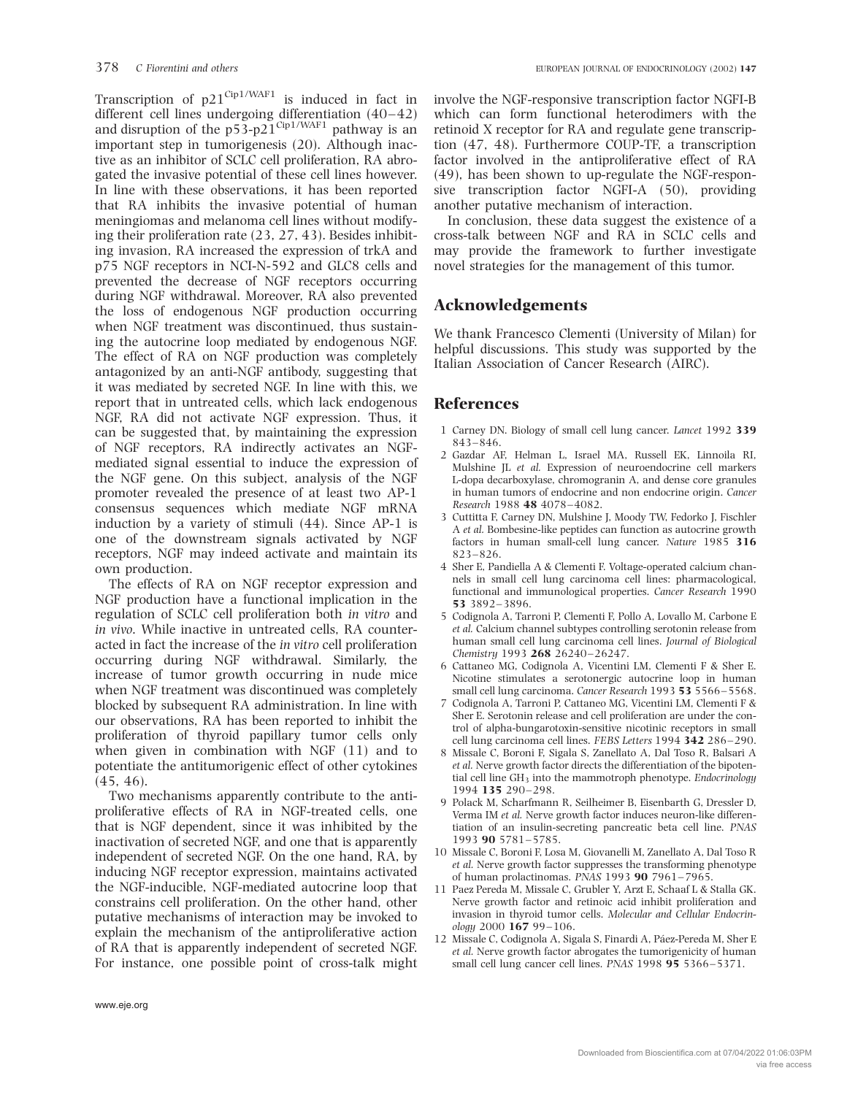Transcription of  $p21^{\text{Cip1/WAF1}}$  is induced in fact in different cell lines undergoing differentiation (40–42) and disruption of the  $p53-p21^{\text{Cip1/WAF1}}$  pathway is an important step in tumorigenesis (20). Although inactive as an inhibitor of SCLC cell proliferation, RA abrogated the invasive potential of these cell lines however. In line with these observations, it has been reported that RA inhibits the invasive potential of human meningiomas and melanoma cell lines without modifying their proliferation rate (23, 27, 43). Besides inhibiting invasion, RA increased the expression of trkA and p75 NGF receptors in NCI-N-592 and GLC8 cells and prevented the decrease of NGF receptors occurring during NGF withdrawal. Moreover, RA also prevented the loss of endogenous NGF production occurring when NGF treatment was discontinued, thus sustaining the autocrine loop mediated by endogenous NGF. The effect of RA on NGF production was completely antagonized by an anti-NGF antibody, suggesting that it was mediated by secreted NGF. In line with this, we report that in untreated cells, which lack endogenous NGF, RA did not activate NGF expression. Thus, it can be suggested that, by maintaining the expression of NGF receptors, RA indirectly activates an NGFmediated signal essential to induce the expression of the NGF gene. On this subject, analysis of the NGF promoter revealed the presence of at least two AP-1 consensus sequences which mediate NGF mRNA induction by a variety of stimuli (44). Since AP-1 is one of the downstream signals activated by NGF receptors, NGF may indeed activate and maintain its own production.

The effects of RA on NGF receptor expression and NGF production have a functional implication in the regulation of SCLC cell proliferation both in vitro and in vivo. While inactive in untreated cells, RA counteracted in fact the increase of the in vitro cell proliferation occurring during NGF withdrawal. Similarly, the increase of tumor growth occurring in nude mice when NGF treatment was discontinued was completely blocked by subsequent RA administration. In line with our observations, RA has been reported to inhibit the proliferation of thyroid papillary tumor cells only when given in combination with NGF (11) and to potentiate the antitumorigenic effect of other cytokines (45, 46).

Two mechanisms apparently contribute to the antiproliferative effects of RA in NGF-treated cells, one that is NGF dependent, since it was inhibited by the inactivation of secreted NGF, and one that is apparently independent of secreted NGF. On the one hand, RA, by inducing NGF receptor expression, maintains activated the NGF-inducible, NGF-mediated autocrine loop that constrains cell proliferation. On the other hand, other putative mechanisms of interaction may be invoked to explain the mechanism of the antiproliferative action of RA that is apparently independent of secreted NGF. For instance, one possible point of cross-talk might

involve the NGF-responsive transcription factor NGFI-B which can form functional heterodimers with the retinoid X receptor for RA and regulate gene transcription (47, 48). Furthermore COUP-TF, a transcription factor involved in the antiproliferative effect of RA (49), has been shown to up-regulate the NGF-responsive transcription factor NGFI-A (50), providing another putative mechanism of interaction.

In conclusion, these data suggest the existence of a cross-talk between NGF and RA in SCLC cells and may provide the framework to further investigate novel strategies for the management of this tumor.

# Acknowledgements

We thank Francesco Clementi (University of Milan) for helpful discussions. This study was supported by the Italian Association of Cancer Research (AIRC).

# References

- 1 Carney DN. Biology of small cell lung cancer. Lancet 1992 339 843–846.
- 2 Gazdar AF, Helman L, Israel MA, Russell EK, Linnoila RI, Mulshine IL et al. Expression of neuroendocrine cell markers L-dopa decarboxylase, chromogranin A, and dense core granules in human tumors of endocrine and non endocrine origin. Cancer Research 1988 48 4078–4082.
- 3 Cuttitta F, Carney DN, Mulshine J, Moody TW, Fedorko J, Fischler A et al. Bombesine-like peptides can function as autocrine growth factors in human small-cell lung cancer. Nature 1985 316 823–826.
- 4 Sher E, Pandiella A & Clementi F. Voltage-operated calcium channels in small cell lung carcinoma cell lines: pharmacological, functional and immunological properties. Cancer Research 1990 53 3892–3896.
- 5 Codignola A, Tarroni P, Clementi F, Pollo A, Lovallo M, Carbone E et al. Calcium channel subtypes controlling serotonin release from human small cell lung carcinoma cell lines. Journal of Biological Chemistry 1993 268 26240–26247.
- 6 Cattaneo MG, Codignola A, Vicentini LM, Clementi F & Sher E. Nicotine stimulates a serotonergic autocrine loop in human small cell lung carcinoma. Cancer Research 1993 53 5566–5568.
- 7 Codignola A, Tarroni P, Cattaneo MG, Vicentini LM, Clementi F & Sher E. Serotonin release and cell proliferation are under the control of alpha-bungarotoxin-sensitive nicotinic receptors in small cell lung carcinoma cell lines. FEBS Letters 1994 342 286–290.
- 8 Missale C, Boroni F, Sigala S, Zanellato A, Dal Toso R, Balsari A et al. Nerve growth factor directs the differentiation of the bipotential cell line  $GH_3$  into the mammotroph phenotype. Endocrinology 1994 135 290–298.
- 9 Polack M, Scharfmann R, Seilheimer B, Eisenbarth G, Dressler D, Verma IM et al. Nerve growth factor induces neuron-like differentiation of an insulin-secreting pancreatic beta cell line. PNAS 1993 90 5781–5785.
- 10 Missale C, Boroni F, Losa M, Giovanelli M, Zanellato A, Dal Toso R et al. Nerve growth factor suppresses the transforming phenotype of human prolactinomas. PNAS 1993 90 7961–7965.
- 11 Paez Pereda M, Missale C, Grubler Y, Arzt E, Schaaf L & Stalla GK. Nerve growth factor and retinoic acid inhibit proliferation and invasion in thyroid tumor cells. Molecular and Cellular Endocrinology 2000 167 99–106.
- 12 Missale C, Codignola A, Sigala S, Finardi A, Páez-Pereda M, Sher E et al. Nerve growth factor abrogates the tumorigenicity of human small cell lung cancer cell lines. PNAS 1998 95 5366-5371.